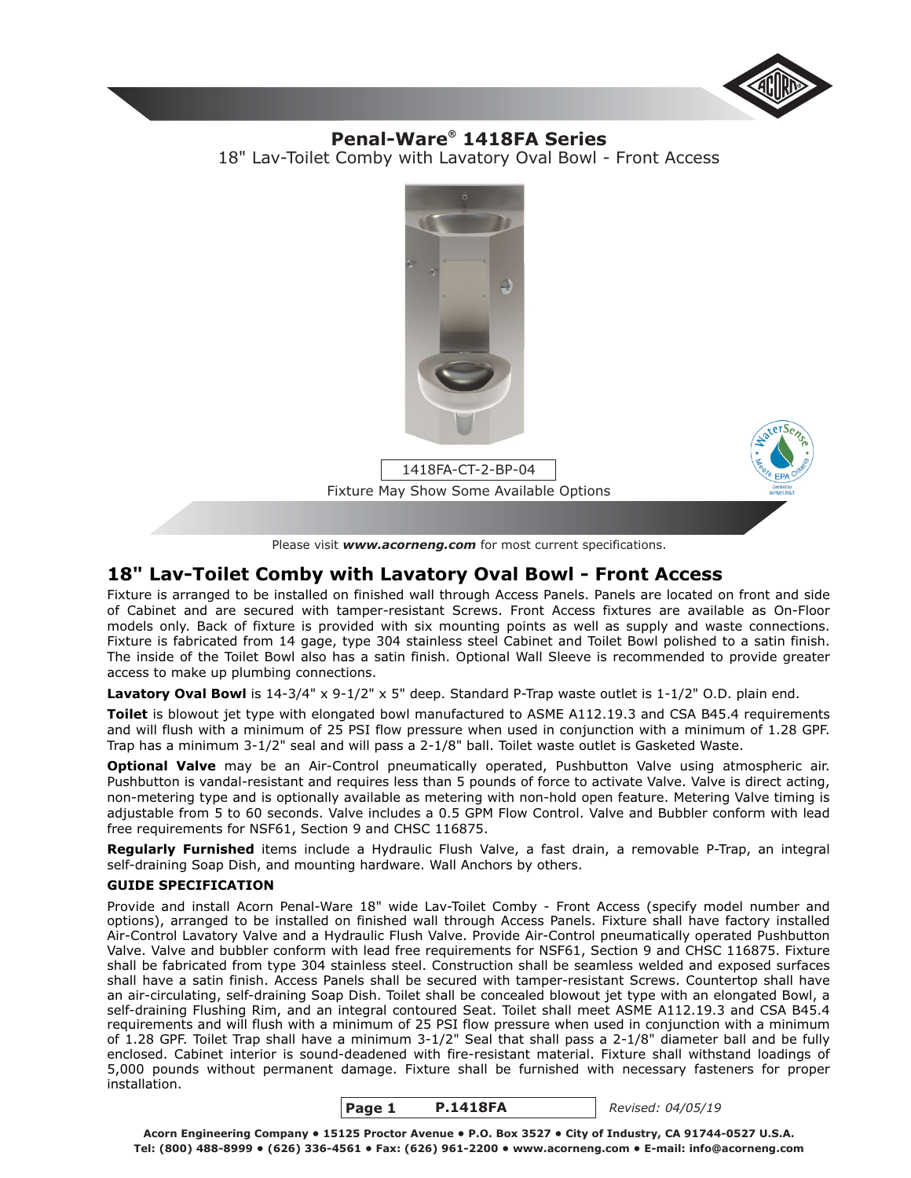

# 18" Lav-Toilet Comby with Lavatory Oval Bowl - Front Access **Penal-Ware<sup>®</sup> 1418FA Series**



# **18" Lav-Toilet Comby with Lavatory Oval Bowl - Front Access**

Fixture is arranged to be installed on finished wall through Access Panels. Panels are located on front and side of Cabinet and are secured with tamper-resistant Screws. Front Access fixtures are available as On-Floor models only. Back of fixture is provided with six mounting points as well as supply and waste connections. Fixture is fabricated from 14 gage, type 304 stainless steel Cabinet and Toilet Bowl polished to a satin finish. The inside of the Toilet Bowl also has a satin finish. Optional Wall Sleeve is recommended to provide greater access to make up plumbing connections.

Lavatory Oval Bowl is 14-3/4" x 9-1/2" x 5" deep. Standard P-Trap waste outlet is 1-1/2" O.D. plain end.

**Toilet** is blowout jet type with elongated bowl manufactured to ASME A112.19.3 and CSA B45.4 requirements and will flush with a minimum of 25 PSI flow pressure when used in conjunction with a minimum of 1.28 GPF. Trap has a minimum 3-1/2" seal and will pass a 2-1/8" ball. Toilet waste outlet is Gasketed Waste.

**Optional Valve** may be an Air-Control pneumatically operated, Pushbutton Valve using atmospheric air. Pushbutton is vandal-resistant and requires less than 5 pounds of force to activate Valve. Valve is direct acting, non-metering type and is optionally available as metering with non-hold open feature. Metering Valve timing is adjustable from 5 to 60 seconds. Valve includes a 0.5 GPM Flow Control. Valve and Bubbler conform with lead free requirements for NSF61, Section 9 and CHSC 116875.

**Regularly Furnished** items include a Hydraulic Flush Valve, a fast drain, a removable P-Trap, an integral self-draining Soap Dish, and mounting hardware. Wall Anchors by others.

# **GUIDE SPECIFICATION**

Provide and install Acorn Penal-Ware 18" wide Lav-Toilet Comby - Front Access (specify model number and options), arranged to be installed on finished wall through Access Panels. Fixture shall have factory installed Air-Control Lavatory Valve and a Hydraulic Flush Valve. Provide Air-Control pneumatically operated Pushbutton Valve. Valve and bubbler conform with lead free requirements for NSF61, Section 9 and CHSC 116875. Fixture shall be fabricated from type 304 stainless steel. Construction shall be seamless welded and exposed surfaces shall have a satin finish. Access Panels shall be secured with tamper-resistant Screws. Countertop shall have an air-circulating, self-draining Soap Dish. Toilet shall be concealed blowout jet type with an elongated Bowl, a self-draining Flushing Rim, and an integral contoured Seat. Toilet shall meet ASME A112.19.3 and CSA B45.4 requirements and will flush with a minimum of 25 PSI flow pressure when used in conjunction with a minimum of 1.28 GPF. Toilet Trap shall have a minimum 3-1/2" Seal that shall pass a 2-1/8" diameter ball and be fully enclosed. Cabinet interior is sound-deadened with fire-resistant material. Fixture shall withstand loadings of 5,000 pounds without permanent damage. Fixture shall be furnished with necessary fasteners for proper installation.



*Revised: 04/05/19*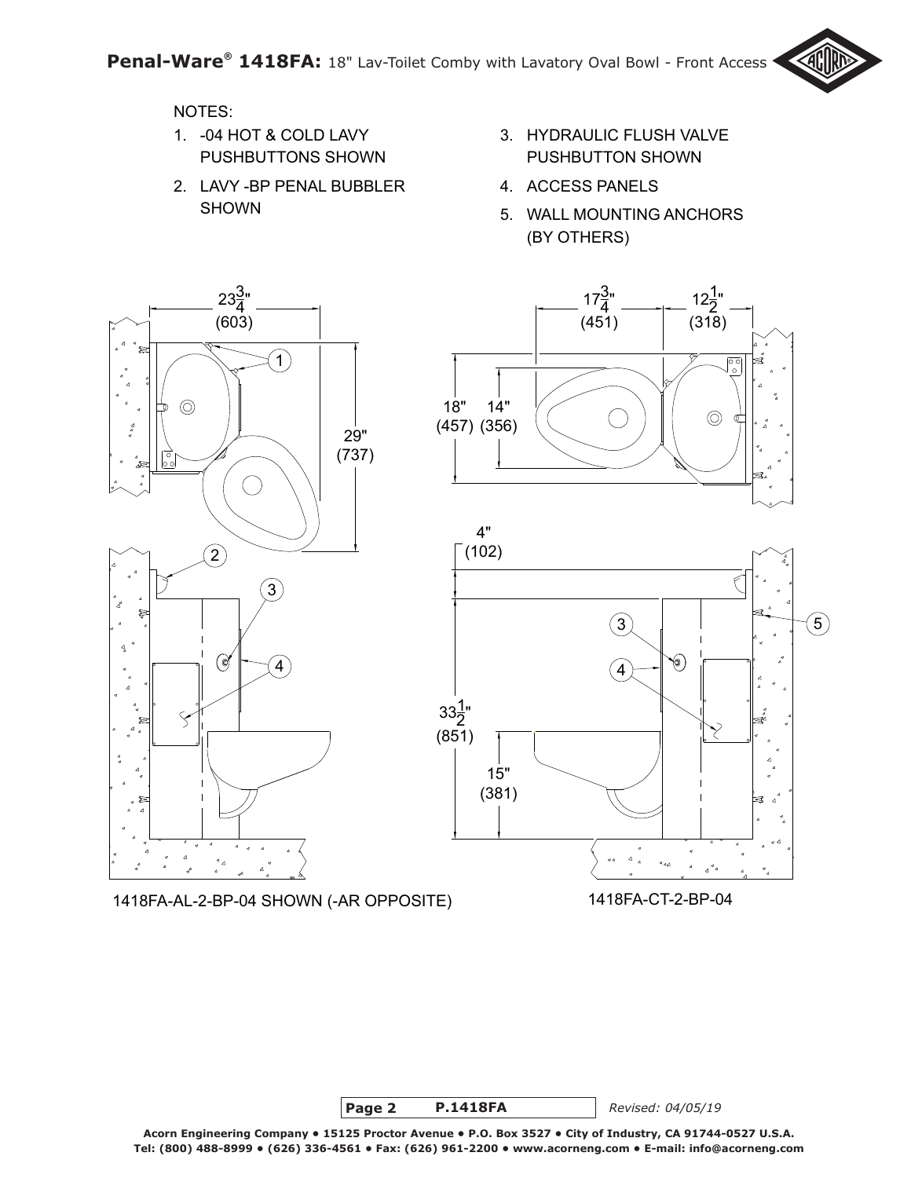

# NOTES:

- PUSHBUTTONS SHOWN -04 HOT & COLD LAVY 1.
- 2. LAVY -BP PENAL BUBBLER SHOWN
- HYDRAULIC FLUSH VALVE 3. PUSHBUTTON SHOWN
- 4. ACCESS PANELS
- 5. WALL MOUNTING ANCHORS (BY OTHERS)



1418FA-AL-2-BP-04 SHOWN (-AR OPPOSITE) 1418FA-CT-2-BP-04



**Page 2 P.1418FA** *Revised: 04/05/19*

**Acorn Engineering Company • 15125 Proctor Avenue • P.O. Box 3527 • City of Industry, CA 91744-0527 U.S.A. Tel: (800) 488-8999 • (626) 336-4561 • Fax: (626) 961-2200 • www.acorneng.com • E-mail: info@acorneng.com**